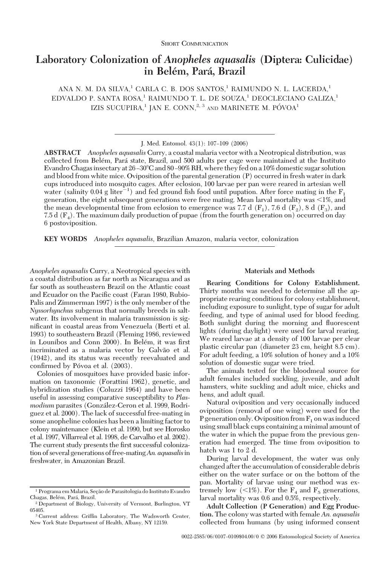### SHORT COMMUNICATION

# **Laboratory Colonization of** *Anopheles aquasalis* **(Diptera: Culicidae) in Bele´m, Para´, Brazil**

ANA N. M. DA SILVA,<sup>1</sup> CARLA C. B. DOS SANTOS,<sup>1</sup> RAIMUNDO N. L. LACERDA,<sup>1</sup> EDVALDO P. SANTA ROSA,<sup>1</sup> RAIMUNDO T. L. DE SOUZA,<sup>1</sup> DEOCLECIANO GALIZA,<sup>1</sup> IZIS SUCUPIRA,<sup>1</sup> JAN E. CONN,<sup>2, 3</sup> AND MARINETE M. PÓVOA<sup>1</sup>

J. Med. Entomol.  $43(1)$ : 107-109 (2006)

**ABSTRACT** *Anopheles aquasalis* Curry, a coastal malaria vector with a Neotropical distribution, was collected from Belém, Pará state, Brazil, and 500 adults per cage were maintained at the Instituto Evandro Chagas insectary at 26-30°C and 80-90% RH, where they fed on a 10% domestic sugar solution and blood from white mice. Oviposition of the parental generation (P) occurred in fresh water in dark cups introduced into mosquito cages. After eclosion, 100 larvae per pan were reared in artesian well water (salinity 0.04 g liter<sup>-1</sup>) and fed ground fish food until pupation. After force mating in the  $F_1$ generation, the eight subsequent generations were free mating. Mean larval mortality was <1%, and the mean developmental time from eclosion to emergence was 7.7 d  $(F_1)$ , 7.6 d  $(F_2)$ , 8 d  $(F_3)$ , and 7.5 d  $(F_4)$ . The maximum daily production of pupae (from the fourth generation on) occurred on day 6 postoviposition.

**KEY WORDS** *Anopheles aquasalis*, Brazilian Amazon, malaria vector, colonization

*Anopheles aquasalis* Curry, a Neotropical species with a coastal distribution as far north as Nicaragua and as far south as southeastern Brazil on the Atlantic coast and Ecuador on the Pacific coast (Faran 1980, Rubio-Palis and Zimmerman 1997) is the only member of the *Nyssorhynchus* subgenus that normally breeds in saltwater. Its involvement in malaria transmission is significant in coastal areas from Venezuela (Berti et al. 1993) to southeastern Brazil (Fleming 1986, reviewed in Lounibos and Conn 2000). In Belém, it was first incriminated as a malaria vector by Galvão et al. (1942), and its status was recently reevaluated and confirmed by Póvoa et al. (2003).

Colonies of mosquitoes have provided basic information on taxonomic (Forattini 1962), genetic, and hybridization studies (Coluzzi 1964) and have been useful in assessing comparative susceptibility to *Plas*modium parasites (González-Ceron et al. 1999, Rodriguez et al. 2000). The lack of successful free-mating in some anopheline colonies has been a limiting factor to colony maintenance (Klein et al. 1990, but see Horosko et al. 1997, Villarreal et al. 1998, de Carvalho et al. 2002). The current study presents the first successful colonization of several generations of free-mating*An. aquasalis*in freshwater, in Amazonian Brazil.

# **Materials and Methods**

**Rearing Conditions for Colony Establishment.** Thirty months was needed to determine all the appropriate rearing conditions for colony establishment, including exposure to sunlight, type of sugar for adult feeding, and type of animal used for blood feeding. Both sunlight during the morning and ßuorescent lights (during daylight) were used for larval rearing. We reared larvae at a density of 100 larvae per clear plastic circular pan (diameter 23 cm, height 8.5 cm). For adult feeding, a 10% solution of honey and a 10% solution of domestic sugar were tried.

The animals tested for the bloodmeal source for adult females included suckling, juvenile, and adult hamsters, white suckling and adult mice, chicks and hens, and adult quail.

Natural oviposition and very occasionally induced oviposition (removal of one wing) were used for the P generation only. Oviposition from  $F_1$  on was induced using small black cups containing a minimal amount of the water in which the pupae from the previous generation had emerged. The time from oviposition to hatch was 1 to 2 d.

During larval development, the water was only changed after the accumulation of considerable debris either on the water surface or on the bottom of the pan. Mortality of larvae using our method was extremely low  $\langle \langle 1\% \rangle$ . For the  $F_4$  and  $F_5$  generations, larval mortality was 0.6 and 0.5%, respectively.

**Adult Collection (P Generation) and Egg Production.** The colony was started with female *An. aquasalis* collected from humans (by using informed consent

<sup>&</sup>lt;sup>1</sup> Programa em Malaria, Seção de Parasitologia do Instituto Evandro Chagas, Belém, Pará, Brazil.

<sup>2</sup> Department of Biology, University of Vermont, Burlington, VT 05405.

<sup>&</sup>lt;sup>3</sup> Current address: Griffin Laboratory, The Wadsworth Center, New York State Department of Health, Albany, NY 12159.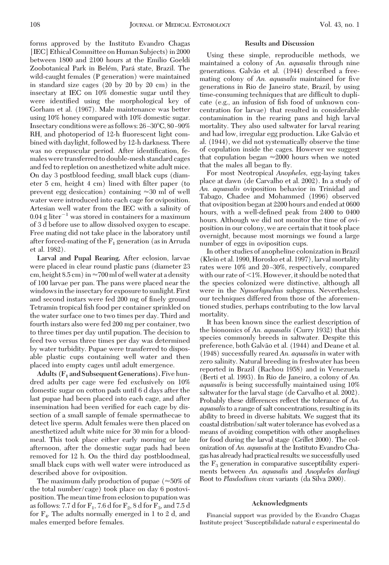forms approved by the Instituto Evandro Chagas [IEC] Ethical Committee on Human Subjects) in 2000 between 1800 and 2100 hours at the Emilio Goeldi Zoobotanical Park in Belém, Pará state, Brazil. The wild-caught females (P generation) were maintained in standard size cages (20 by 20 by 20 cm) in the insectary at IEC on 10% domestic sugar until they were identified using the morphological key of Gorham et al. (1967). Male maintenance was better using 10% honey compared with 10% domestic sugar. Insectary conditions were as follows:  $26-30^{\circ}$ C,  $80-90^{\circ}$ RH, and photoperiod of 12-h fluorescent light combined with daylight, followed by 12-h darkness. There was no crepuscular period. After identification, females were transferred to double-mesh standard cages and fed to repletion on anesthetized white adult mice. On day 3 postblood feeding, small black cups (diameter 5 cm, height 4 cm) lined with filter paper (to prevent egg desiccation) containing  $\approx 30$  ml of well water were introduced into each cage for oviposition. Artesian well water from the IEC with a salinity of  $0.04$  g liter<sup>-1</sup> was stored in containers for a maximum of 3 d before use to allow dissolved oxygen to escape. Free mating did not take place in the laboratory until after forced-mating of the  $F_1$  generation (as in Arruda et al. 1982).

**Larval and Pupal Rearing.** After eclosion, larvae were placed in clear round plastic pans (diameter 23 cm, height 8.5 cm) in  $\approx$ 700 ml of well water at a density of 100 larvae per pan. The pans were placed near the windows in the insectary for exposure to sunlight. First and second instars were fed 200 mg of finely ground Tetramin tropical fish food per container sprinkled on the water surface one to two times per day. Third and fourth instars also were fed 200 mg per container, two to three times per day until pupation. The decision to feed two versus three times per day was determined by water turbidity. Pupae were transferred to disposable plastic cups containing well water and then placed into empty cages until adult emergence.

**Adults (F1 and Subsequent Generations).**Five hundred adults per cage were fed exclusively on 10% domestic sugar on cotton pads until 6 d days after the last pupae had been placed into each cage, and after insemination had been verified for each cage by dissection of a small sample of female spermathecae to detect live sperm. Adult females were then placed on anesthetized adult white mice for 30 min for a bloodmeal. This took place either early morning or late afternoon, after the domestic sugar pads had been removed for 12 h. On the third day postbloodmeal, small black cups with well water were introduced as described above for oviposition.

The maximum daily production of pupae ( $\approx$ 50% of the total number/cage) took place on day 6 postoviposition. The mean time from eclosion to pupation was as follows: 7.7 d for  $F_1$ , 7.6 d for  $F_2$ , 8 d for  $F_3$ , and 7.5 d for  $F_4$ . The adults normally emerged in 1 to 2 d, and males emerged before females.

#### **Results and Discussion**

Using these simple, reproducible methods, we maintained a colony of *An. aquasalis* through nine generations. Galvão et al. (1944) described a freemating colony of *An. aquasalis* maintained for five generations in Rio de Janeiro state, Brazil, by using time-consuming techniques that are difficult to duplicate (e.g., an infusion of fish food of unknown concentration for larvae) that resulted in considerable contamination in the rearing pans and high larval mortality. They also used saltwater for larval rearing and had low, irregular egg production. Like Galvão et al. (1944), we did not systematically observe the time of copulation inside the cages. However we suggest that copulation began  $\approx 2000$  hours when we noted that the males all began to fly.

For most Neotropical *Anopheles,* egg-laying takes place at dawn (de Carvalho et al. 2002). In a study of *An. aquasalis* oviposition behavior in Trinidad and Tabago, Chadee and Mohammed (1996) observed that oviposition began at 2200 hours and ended at 0600 hours, with a well-defined peak from 2400 to 0400 hours. Although we did not monitor the time of oviposition in our colony, we are certain that it took place overnight, because most mornings we found a large number of eggs in oviposition cups.

In other studies of anopheline colonization in Brazil (Klein et al. 1990, Horosko et al. 1997), larval mortality rates were 10% and 20-30%, respectively, compared with our rate of  $\leq$ 1%. However, it should be noted that the species colonized were distinctive, although all were in the *Nyssorhynchus* subgenus. Nevertheless, our techniques differed from those of the aforementioned studies, perhaps contributing to the low larval mortality.

It has been known since the earliest description of the bionomics of *An. aquasalis* (Curry 1932) that this species commonly breeds in saltwater. Despite this preference, both Galvão et al. (1944) and Deane et al. (1948) successfully reared *An. aquasalis* in water with zero salinity. Natural breeding in freshwater has been reported in Brazil (Rachou 1958) and in Venezuela (Berti et al. 1993). In Rio de Janeiro, a colony of *An. aquasalis* is being successfully maintained using 10% saltwater for the larval stage (de Carvalho et al. 2002). Probably these differences reßect the tolerance of *An. aquasalis*to a range of salt concentrations, resulting in its ability to breed in diverse habitats. We suggest that its coastal distribution/salt water tolerance has evolved as a means of avoiding competition with other anophelines for food during the larval stage (Grillet 2000). The colonization of *An. aquasalis* at the Instituto Evandro Chagas has already had practical results:we successfully used the  $F_3$  generation in comparative susceptibility experiments between *An. aquasalis* and *Anopheles darlingi* Root to *Plasdodium vivax* variants (da Silva 2000).

## **Acknowledgments**

Financial support was provided by the Evandro Chagas Institute project "Susceptibilidade natural e experimental do